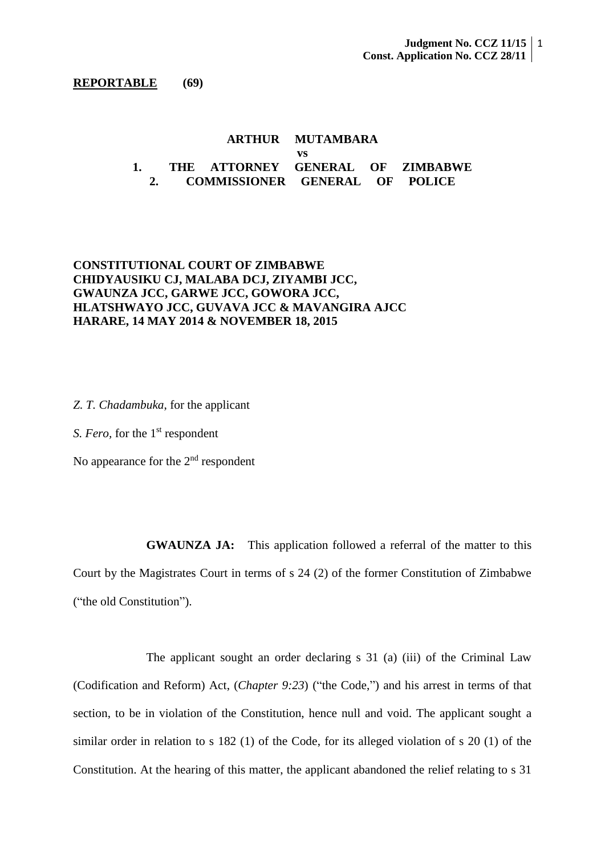#### **REPORTABLE (69)**

## **ARTHUR MUTAMBARA vs 1. THE ATTORNEY GENERAL OF ZIMBABWE 2. COMMISSIONER GENERAL OF POLICE**

# **CONSTITUTIONAL COURT OF ZIMBABWE CHIDYAUSIKU CJ, MALABA DCJ, ZIYAMBI JCC, GWAUNZA JCC, GARWE JCC, GOWORA JCC, HLATSHWAYO JCC, GUVAVA JCC & MAVANGIRA AJCC HARARE, 14 MAY 2014 & NOVEMBER 18, 2015**

*Z. T. Chadambuka*, for the applicant

*S. Fero,* for the 1<sup>st</sup> respondent

No appearance for the  $2<sup>nd</sup>$  respondent

**GWAUNZA JA:** This application followed a referral of the matter to this Court by the Magistrates Court in terms of s 24 (2) of the former Constitution of Zimbabwe ("the old Constitution").

The applicant sought an order declaring s 31 (a) (iii) of the Criminal Law (Codification and Reform) Act, (*Chapter 9:23*) ("the Code,") and his arrest in terms of that section, to be in violation of the Constitution, hence null and void. The applicant sought a similar order in relation to s 182 (1) of the Code, for its alleged violation of s 20 (1) of the Constitution. At the hearing of this matter, the applicant abandoned the relief relating to s 31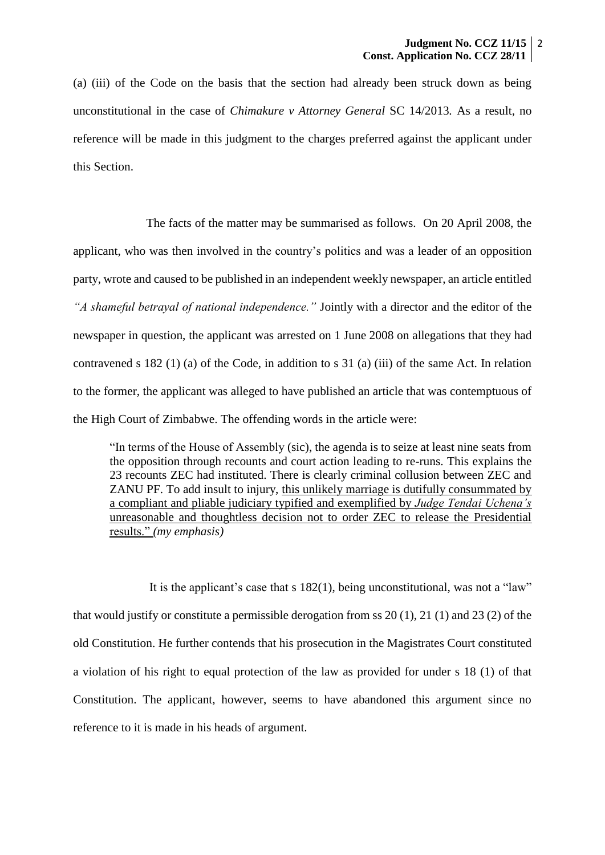(a) (iii) of the Code on the basis that the section had already been struck down as being unconstitutional in the case of *Chimakure v Attorney General* SC 14/2013*.* As a result, no reference will be made in this judgment to the charges preferred against the applicant under this Section.

The facts of the matter may be summarised as follows. On 20 April 2008, the applicant, who was then involved in the country's politics and was a leader of an opposition party, wrote and caused to be published in an independent weekly newspaper, an article entitled *"A shameful betrayal of national independence."* Jointly with a director and the editor of the newspaper in question, the applicant was arrested on 1 June 2008 on allegations that they had contravened s 182 (1) (a) of the Code, in addition to s 31 (a) (iii) of the same Act. In relation to the former, the applicant was alleged to have published an article that was contemptuous of the High Court of Zimbabwe. The offending words in the article were:

"In terms of the House of Assembly (sic), the agenda is to seize at least nine seats from the opposition through recounts and court action leading to re-runs. This explains the 23 recounts ZEC had instituted. There is clearly criminal collusion between ZEC and ZANU PF. To add insult to injury, this unlikely marriage is dutifully consummated by a compliant and pliable judiciary typified and exemplified by *Judge Tendai Uchena's* unreasonable and thoughtless decision not to order ZEC to release the Presidential results." *(my emphasis)*

It is the applicant's case that s 182(1), being unconstitutional, was not a "law" that would justify or constitute a permissible derogation from ss 20 (1), 21 (1) and 23 (2) of the old Constitution. He further contends that his prosecution in the Magistrates Court constituted a violation of his right to equal protection of the law as provided for under s 18 (1) of that Constitution. The applicant, however, seems to have abandoned this argument since no reference to it is made in his heads of argument.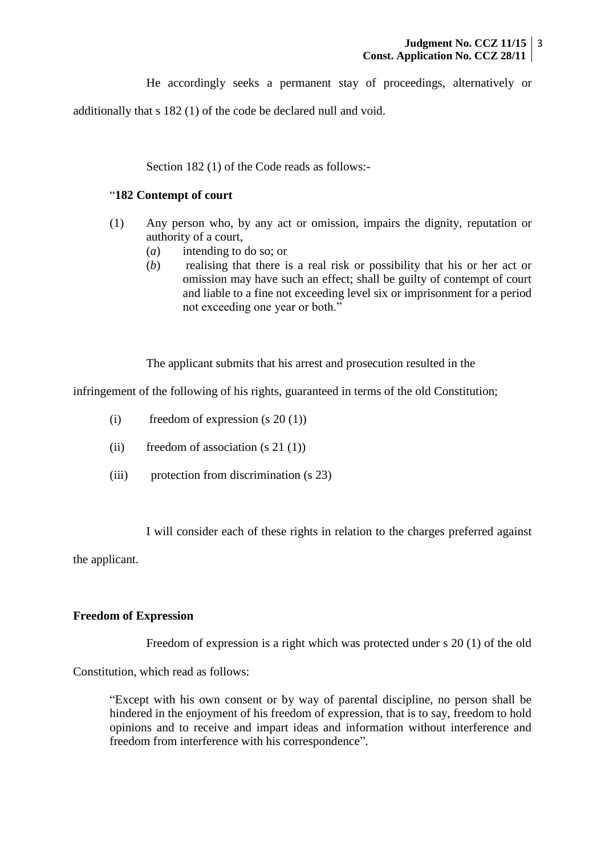He accordingly seeks a permanent stay of proceedings, alternatively or

additionally that s 182 (1) of the code be declared null and void.

Section 182 (1) of the Code reads as follows:-

# "**182 Contempt of court**

- (1) Any person who, by any act or omission, impairs the dignity, reputation or authority of a court,
	- (*a*) intending to do so; or
	- (*b*) realising that there is a real risk or possibility that his or her act or omission may have such an effect; shall be guilty of contempt of court and liable to a fine not exceeding level six or imprisonment for a period not exceeding one year or both."

The applicant submits that his arrest and prosecution resulted in the

infringement of the following of his rights, guaranteed in terms of the old Constitution;

- (i) freedom of expression  $(s 20(1))$
- (ii) freedom of association  $(s 21 (1))$
- (iii) protection from discrimination (s 23)

I will consider each of these rights in relation to the charges preferred against

the applicant.

### **Freedom of Expression**

Freedom of expression is a right which was protected under s 20 (1) of the old

Constitution, which read as follows:

"Except with his own consent or by way of parental discipline, no person shall be hindered in the enjoyment of his freedom of expression, that is to say, freedom to hold opinions and to receive and impart ideas and information without interference and freedom from interference with his correspondence".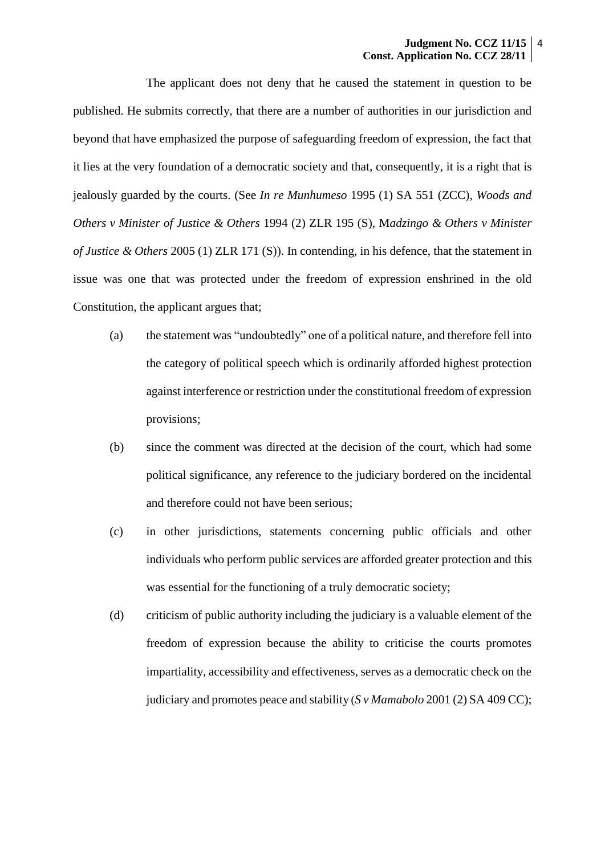The applicant does not deny that he caused the statement in question to be published. He submits correctly, that there are a number of authorities in our jurisdiction and beyond that have emphasized the purpose of safeguarding freedom of expression, the fact that it lies at the very foundation of a democratic society and that, consequently, it is a right that is jealously guarded by the courts. (See *In re Munhumeso* 1995 (1) SA 551 (ZCC), *Woods and Others v Minister of Justice & Others* 1994 (2) ZLR 195 (S), M*adzingo & Others v Minister of Justice & Others* 2005 (1) ZLR 171 (S)). In contending, in his defence, that the statement in issue was one that was protected under the freedom of expression enshrined in the old Constitution, the applicant argues that;

- (a) the statement was "undoubtedly" one of a political nature, and therefore fell into the category of political speech which is ordinarily afforded highest protection against interference or restriction under the constitutional freedom of expression provisions;
- (b) since the comment was directed at the decision of the court, which had some political significance, any reference to the judiciary bordered on the incidental and therefore could not have been serious;
- (c) in other jurisdictions, statements concerning public officials and other individuals who perform public services are afforded greater protection and this was essential for the functioning of a truly democratic society;
- (d) criticism of public authority including the judiciary is a valuable element of the freedom of expression because the ability to criticise the courts promotes impartiality, accessibility and effectiveness, serves as a democratic check on the judiciary and promotes peace and stability (*S v Mamabolo* 2001 (2) SA 409 CC);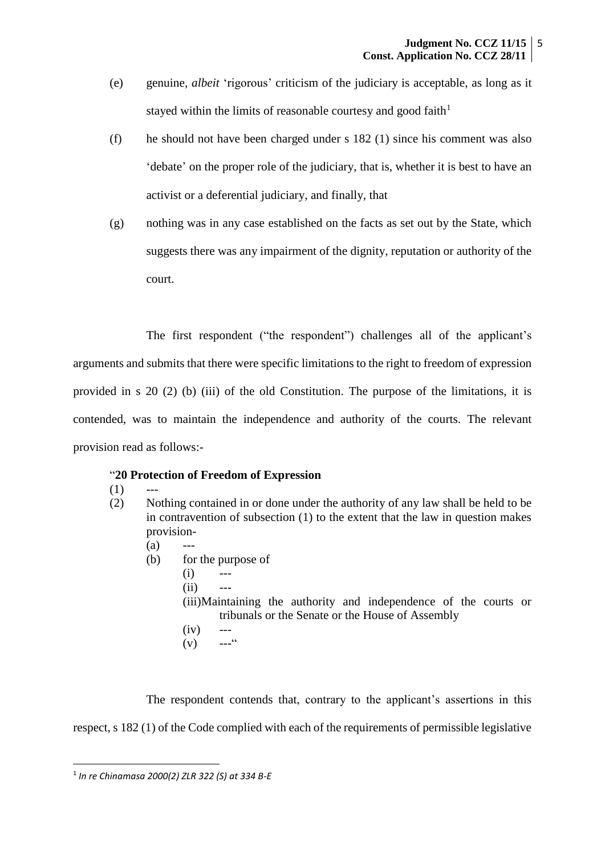- (e) genuine, *albeit* 'rigorous' criticism of the judiciary is acceptable, as long as it stayed within the limits of reasonable courtesy and good faith<sup>1</sup>
- (f) he should not have been charged under s 182 (1) since his comment was also 'debate' on the proper role of the judiciary, that is, whether it is best to have an activist or a deferential judiciary, and finally, that
- (g) nothing was in any case established on the facts as set out by the State, which suggests there was any impairment of the dignity, reputation or authority of the court.

The first respondent ("the respondent") challenges all of the applicant's arguments and submits that there were specific limitations to the right to freedom of expression provided in s 20 (2) (b) (iii) of the old Constitution. The purpose of the limitations, it is contended, was to maintain the independence and authority of the courts. The relevant provision read as follows:-

## "**20 Protection of Freedom of Expression**

- $(1)$
- (2) Nothing contained in or done under the authority of any law shall be held to be in contravention of subsection (1) to the extent that the law in question makes provision-
	- $(a)$
	- (b) for the purpose of
		- $(i)$  ---
		- $(ii)$

(iii)Maintaining the authority and independence of the courts or tribunals or the Senate or the House of Assembly

- $(iv)$  ---<br>  $(v)$  ---"
	- $(v)$

The respondent contends that, contrary to the applicant's assertions in this respect, s 182 (1) of the Code complied with each of the requirements of permissible legislative

**.** 

<sup>1</sup> *In re Chinamasa 2000(2) ZLR 322 (S) at 334 B-E*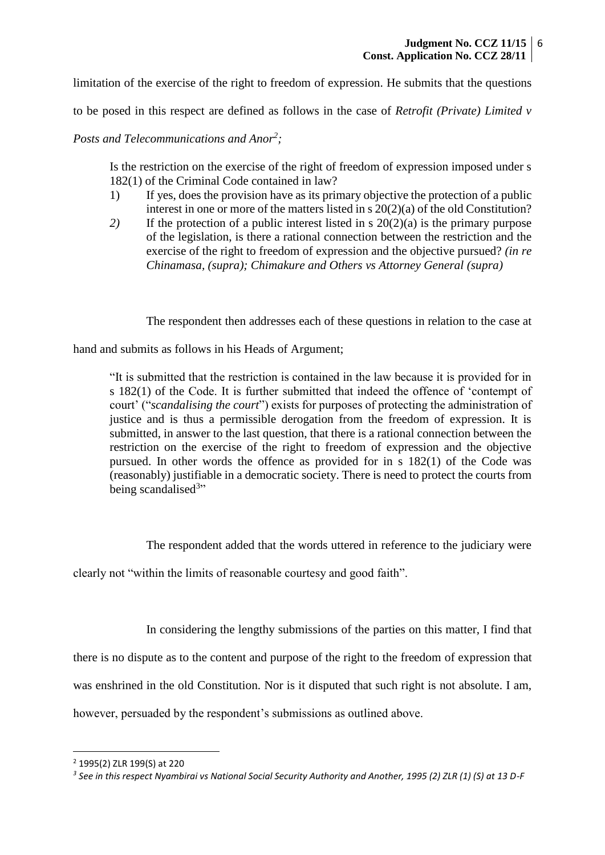limitation of the exercise of the right to freedom of expression. He submits that the questions

to be posed in this respect are defined as follows in the case of *Retrofit (Private) Limited v* 

*Posts and Telecommunications and Anor<sup>2</sup> ;*

Is the restriction on the exercise of the right of freedom of expression imposed under s 182(1) of the Criminal Code contained in law?

- 1) If yes, does the provision have as its primary objective the protection of a public interest in one or more of the matters listed in s 20(2)(a) of the old Constitution?
- *2)* If the protection of a public interest listed in s 20(2)(a) is the primary purpose of the legislation, is there a rational connection between the restriction and the exercise of the right to freedom of expression and the objective pursued? *(in re Chinamasa, (supra); Chimakure and Others vs Attorney General (supra)*

The respondent then addresses each of these questions in relation to the case at

hand and submits as follows in his Heads of Argument;

"It is submitted that the restriction is contained in the law because it is provided for in s 182(1) of the Code. It is further submitted that indeed the offence of 'contempt of court' ("*scandalising the court*") exists for purposes of protecting the administration of justice and is thus a permissible derogation from the freedom of expression. It is submitted, in answer to the last question, that there is a rational connection between the restriction on the exercise of the right to freedom of expression and the objective pursued. In other words the offence as provided for in s 182(1) of the Code was (reasonably) justifiable in a democratic society. There is need to protect the courts from being scandalised<sup>3</sup>"

The respondent added that the words uttered in reference to the judiciary were

clearly not "within the limits of reasonable courtesy and good faith".

In considering the lengthy submissions of the parties on this matter, I find that

there is no dispute as to the content and purpose of the right to the freedom of expression that

was enshrined in the old Constitution. Nor is it disputed that such right is not absolute. I am,

however, persuaded by the respondent's submissions as outlined above.

1

<sup>2</sup> 1995(2) ZLR 199(S) at 220

*<sup>3</sup> See in this respect Nyambirai vs National Social Security Authority and Another, 1995 (2) ZLR (1) (S) at 13 D-F*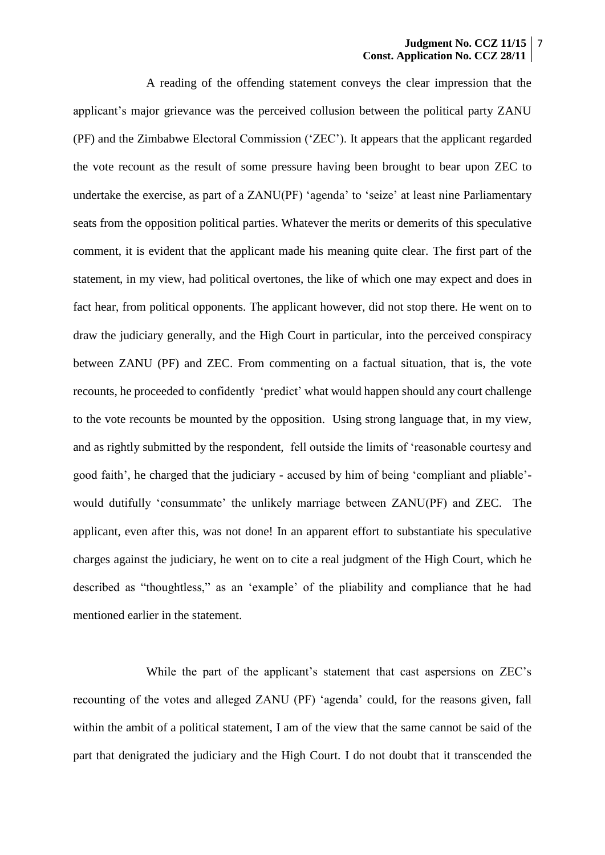A reading of the offending statement conveys the clear impression that the applicant's major grievance was the perceived collusion between the political party ZANU (PF) and the Zimbabwe Electoral Commission ('ZEC'). It appears that the applicant regarded the vote recount as the result of some pressure having been brought to bear upon ZEC to undertake the exercise, as part of a ZANU(PF) 'agenda' to 'seize' at least nine Parliamentary seats from the opposition political parties. Whatever the merits or demerits of this speculative comment, it is evident that the applicant made his meaning quite clear. The first part of the statement, in my view, had political overtones, the like of which one may expect and does in fact hear, from political opponents. The applicant however, did not stop there. He went on to draw the judiciary generally, and the High Court in particular, into the perceived conspiracy between ZANU (PF) and ZEC. From commenting on a factual situation, that is, the vote recounts, he proceeded to confidently 'predict' what would happen should any court challenge to the vote recounts be mounted by the opposition. Using strong language that, in my view, and as rightly submitted by the respondent, fell outside the limits of 'reasonable courtesy and good faith', he charged that the judiciary - accused by him of being 'compliant and pliable' would dutifully 'consummate' the unlikely marriage between ZANU(PF) and ZEC. The applicant, even after this, was not done! In an apparent effort to substantiate his speculative charges against the judiciary, he went on to cite a real judgment of the High Court, which he described as "thoughtless," as an 'example' of the pliability and compliance that he had mentioned earlier in the statement.

While the part of the applicant's statement that cast aspersions on ZEC's recounting of the votes and alleged ZANU (PF) 'agenda' could, for the reasons given, fall within the ambit of a political statement, I am of the view that the same cannot be said of the part that denigrated the judiciary and the High Court. I do not doubt that it transcended the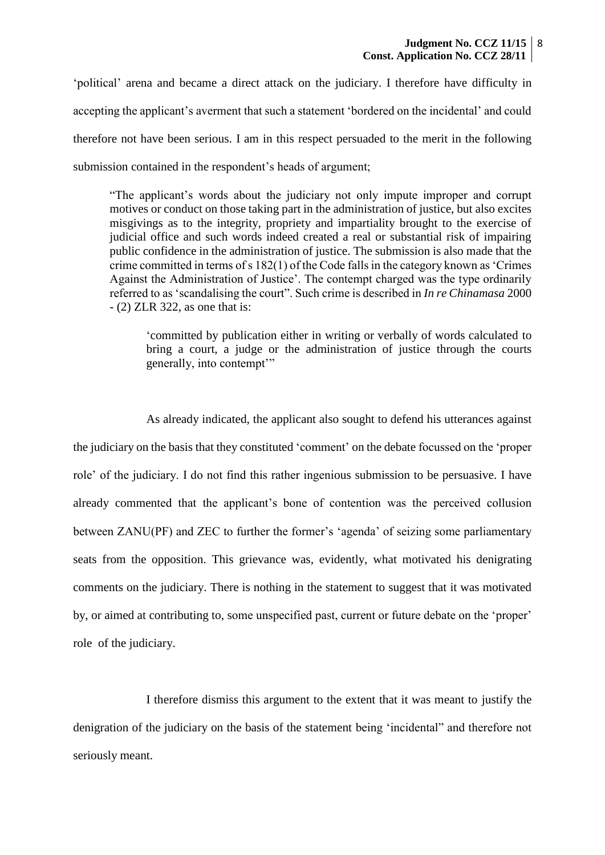'political' arena and became a direct attack on the judiciary. I therefore have difficulty in accepting the applicant's averment that such a statement 'bordered on the incidental' and could therefore not have been serious. I am in this respect persuaded to the merit in the following submission contained in the respondent's heads of argument;

"The applicant's words about the judiciary not only impute improper and corrupt motives or conduct on those taking part in the administration of justice, but also excites misgivings as to the integrity, propriety and impartiality brought to the exercise of judicial office and such words indeed created a real or substantial risk of impairing public confidence in the administration of justice. The submission is also made that the crime committed in terms of s 182(1) of the Code falls in the category known as 'Crimes Against the Administration of Justice'. The contempt charged was the type ordinarily referred to as 'scandalising the court". Such crime is described in *In re Chinamasa* 2000 - (2) ZLR 322, as one that is:

'committed by publication either in writing or verbally of words calculated to bring a court, a judge or the administration of justice through the courts generally, into contempt'"

As already indicated, the applicant also sought to defend his utterances against the judiciary on the basis that they constituted 'comment' on the debate focussed on the 'proper role' of the judiciary. I do not find this rather ingenious submission to be persuasive. I have already commented that the applicant's bone of contention was the perceived collusion between ZANU(PF) and ZEC to further the former's 'agenda' of seizing some parliamentary seats from the opposition. This grievance was, evidently, what motivated his denigrating comments on the judiciary. There is nothing in the statement to suggest that it was motivated by, or aimed at contributing to, some unspecified past, current or future debate on the 'proper' role of the judiciary.

I therefore dismiss this argument to the extent that it was meant to justify the denigration of the judiciary on the basis of the statement being 'incidental" and therefore not seriously meant.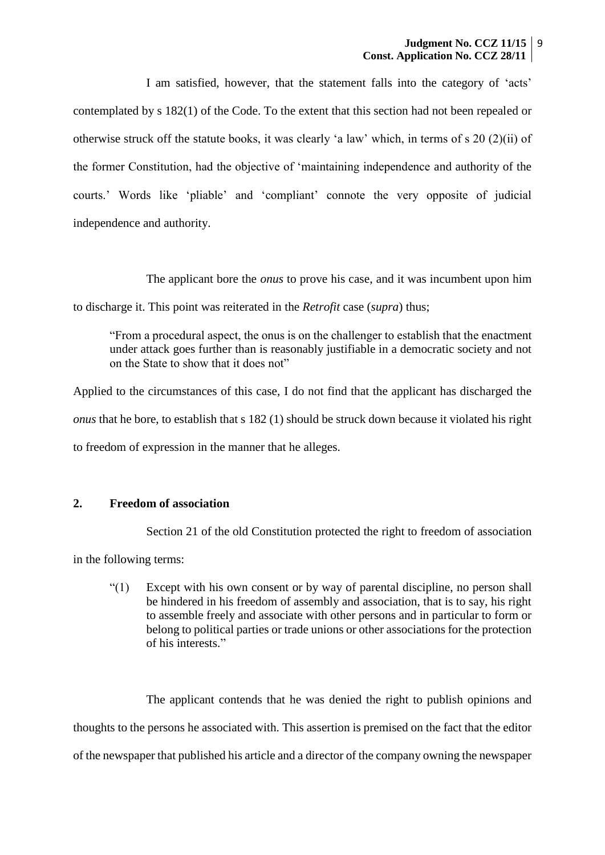I am satisfied, however, that the statement falls into the category of 'acts' contemplated by s 182(1) of the Code. To the extent that this section had not been repealed or otherwise struck off the statute books, it was clearly 'a law' which, in terms of s 20 (2)(ii) of the former Constitution, had the objective of 'maintaining independence and authority of the courts.' Words like 'pliable' and 'compliant' connote the very opposite of judicial independence and authority.

The applicant bore the *onus* to prove his case, and it was incumbent upon him to discharge it. This point was reiterated in the *Retrofit* case (*supra*) thus;

"From a procedural aspect, the onus is on the challenger to establish that the enactment under attack goes further than is reasonably justifiable in a democratic society and not on the State to show that it does not"

Applied to the circumstances of this case, I do not find that the applicant has discharged the *onus* that he bore, to establish that s 182 (1) should be struck down because it violated his right to freedom of expression in the manner that he alleges.

### **2. Freedom of association**

Section 21 of the old Constitution protected the right to freedom of association

in the following terms:

"(1) Except with his own consent or by way of parental discipline, no person shall be hindered in his freedom of assembly and association, that is to say, his right to assemble freely and associate with other persons and in particular to form or belong to political parties or trade unions or other associations for the protection of his interests."

The applicant contends that he was denied the right to publish opinions and thoughts to the persons he associated with. This assertion is premised on the fact that the editor of the newspaper that published his article and a director of the company owning the newspaper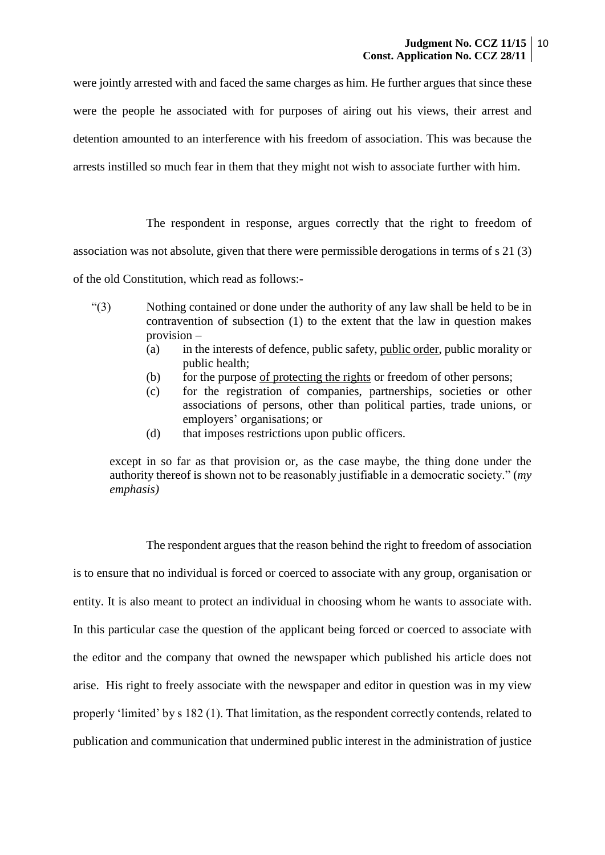were jointly arrested with and faced the same charges as him. He further argues that since these were the people he associated with for purposes of airing out his views, their arrest and detention amounted to an interference with his freedom of association. This was because the arrests instilled so much fear in them that they might not wish to associate further with him.

The respondent in response, argues correctly that the right to freedom of association was not absolute, given that there were permissible derogations in terms of s 21 (3) of the old Constitution, which read as follows:-

- "(3) Nothing contained or done under the authority of any law shall be held to be in contravention of subsection (1) to the extent that the law in question makes provision –
	- (a) in the interests of defence, public safety, public order, public morality or public health;
	- (b) for the purpose <u>of protecting the rights</u> or freedom of other persons;
	- (c) for the registration of companies, partnerships, societies or other associations of persons, other than political parties, trade unions, or employers' organisations; or
	- (d) that imposes restrictions upon public officers.

except in so far as that provision or, as the case maybe, the thing done under the authority thereof is shown not to be reasonably justifiable in a democratic society." (*my emphasis)*

The respondent argues that the reason behind the right to freedom of association is to ensure that no individual is forced or coerced to associate with any group, organisation or entity. It is also meant to protect an individual in choosing whom he wants to associate with. In this particular case the question of the applicant being forced or coerced to associate with the editor and the company that owned the newspaper which published his article does not arise. His right to freely associate with the newspaper and editor in question was in my view properly 'limited' by s 182 (1). That limitation, as the respondent correctly contends, related to publication and communication that undermined public interest in the administration of justice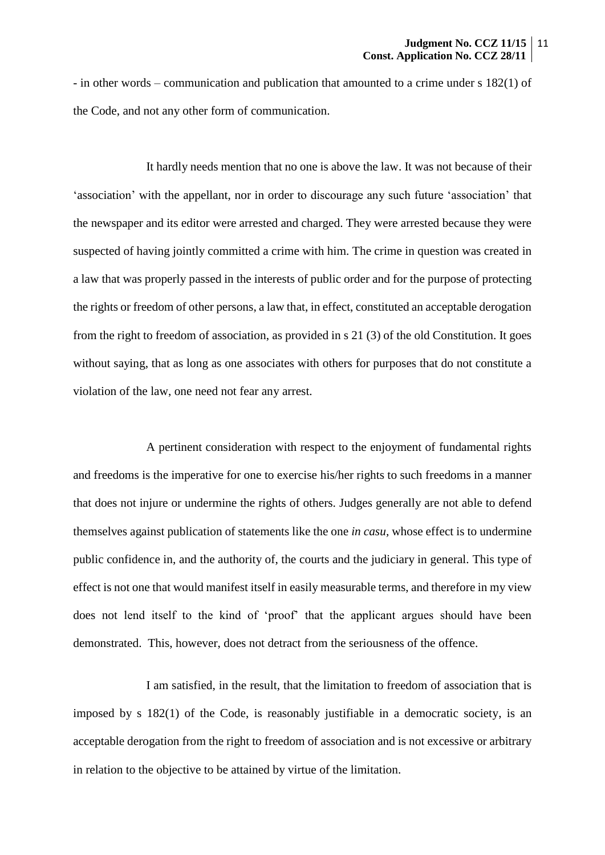- in other words – communication and publication that amounted to a crime under s 182(1) of the Code, and not any other form of communication.

It hardly needs mention that no one is above the law. It was not because of their 'association' with the appellant, nor in order to discourage any such future 'association' that the newspaper and its editor were arrested and charged. They were arrested because they were suspected of having jointly committed a crime with him. The crime in question was created in a law that was properly passed in the interests of public order and for the purpose of protecting the rights or freedom of other persons, a law that, in effect, constituted an acceptable derogation from the right to freedom of association, as provided in s 21 (3) of the old Constitution. It goes without saying, that as long as one associates with others for purposes that do not constitute a violation of the law, one need not fear any arrest.

A pertinent consideration with respect to the enjoyment of fundamental rights and freedoms is the imperative for one to exercise his/her rights to such freedoms in a manner that does not injure or undermine the rights of others. Judges generally are not able to defend themselves against publication of statements like the one *in casu,* whose effect is to undermine public confidence in, and the authority of, the courts and the judiciary in general. This type of effect is not one that would manifest itself in easily measurable terms, and therefore in my view does not lend itself to the kind of 'proof' that the applicant argues should have been demonstrated. This, however, does not detract from the seriousness of the offence.

I am satisfied, in the result, that the limitation to freedom of association that is imposed by s 182(1) of the Code, is reasonably justifiable in a democratic society, is an acceptable derogation from the right to freedom of association and is not excessive or arbitrary in relation to the objective to be attained by virtue of the limitation.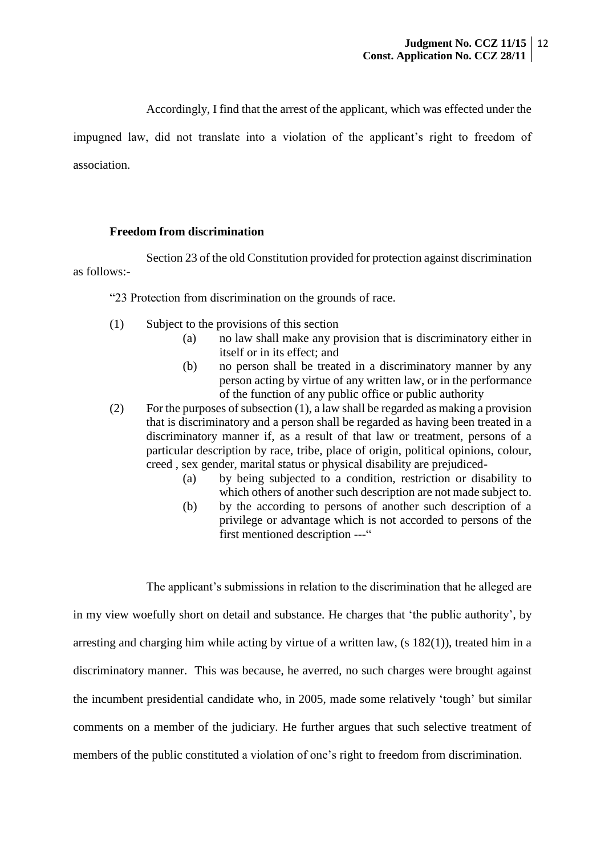Accordingly, I find that the arrest of the applicant, which was effected under the

impugned law, did not translate into a violation of the applicant's right to freedom of association.

### **Freedom from discrimination**

Section 23 of the old Constitution provided for protection against discrimination as follows:-

"23 Protection from discrimination on the grounds of race.

- (1) Subject to the provisions of this section
	- (a) no law shall make any provision that is discriminatory either in itself or in its effect; and
	- (b) no person shall be treated in a discriminatory manner by any person acting by virtue of any written law, or in the performance of the function of any public office or public authority
- (2) For the purposes of subsection (1), a law shall be regarded as making a provision that is discriminatory and a person shall be regarded as having been treated in a discriminatory manner if, as a result of that law or treatment, persons of a particular description by race, tribe, place of origin, political opinions, colour, creed , sex gender, marital status or physical disability are prejudiced-
	- (a) by being subjected to a condition, restriction or disability to which others of another such description are not made subject to.
	- (b) by the according to persons of another such description of a privilege or advantage which is not accorded to persons of the first mentioned description ---"

The applicant's submissions in relation to the discrimination that he alleged are

in my view woefully short on detail and substance. He charges that 'the public authority', by arresting and charging him while acting by virtue of a written law, (s 182(1)), treated him in a discriminatory manner. This was because, he averred, no such charges were brought against the incumbent presidential candidate who, in 2005, made some relatively 'tough' but similar comments on a member of the judiciary. He further argues that such selective treatment of members of the public constituted a violation of one's right to freedom from discrimination.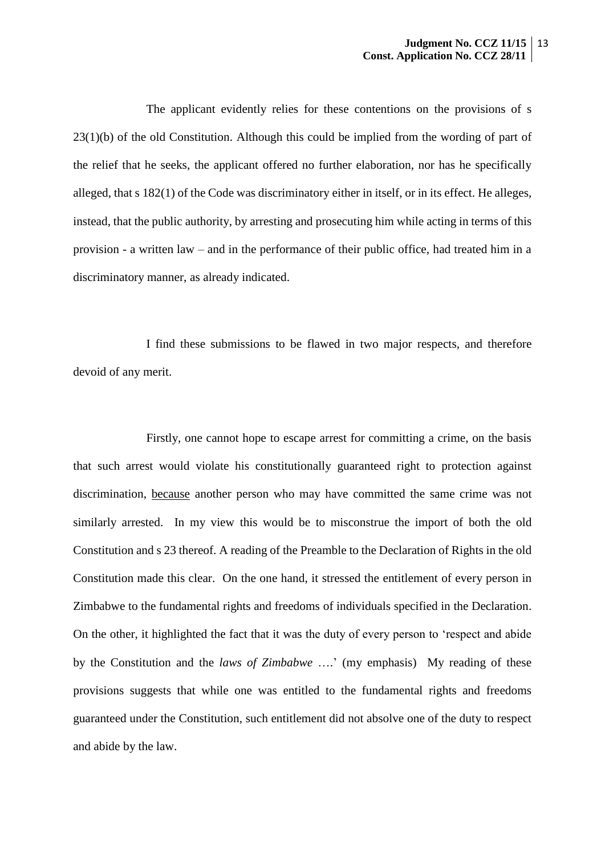The applicant evidently relies for these contentions on the provisions of s 23(1)(b) of the old Constitution. Although this could be implied from the wording of part of the relief that he seeks, the applicant offered no further elaboration, nor has he specifically alleged, that s 182(1) of the Code was discriminatory either in itself, or in its effect. He alleges, instead, that the public authority, by arresting and prosecuting him while acting in terms of this provision - a written law – and in the performance of their public office, had treated him in a discriminatory manner, as already indicated.

I find these submissions to be flawed in two major respects, and therefore devoid of any merit.

Firstly, one cannot hope to escape arrest for committing a crime, on the basis that such arrest would violate his constitutionally guaranteed right to protection against discrimination, because another person who may have committed the same crime was not similarly arrested. In my view this would be to misconstrue the import of both the old Constitution and s 23 thereof. A reading of the Preamble to the Declaration of Rights in the old Constitution made this clear. On the one hand, it stressed the entitlement of every person in Zimbabwe to the fundamental rights and freedoms of individuals specified in the Declaration. On the other, it highlighted the fact that it was the duty of every person to 'respect and abide by the Constitution and the *laws of Zimbabwe* ….' (my emphasis) My reading of these provisions suggests that while one was entitled to the fundamental rights and freedoms guaranteed under the Constitution, such entitlement did not absolve one of the duty to respect and abide by the law.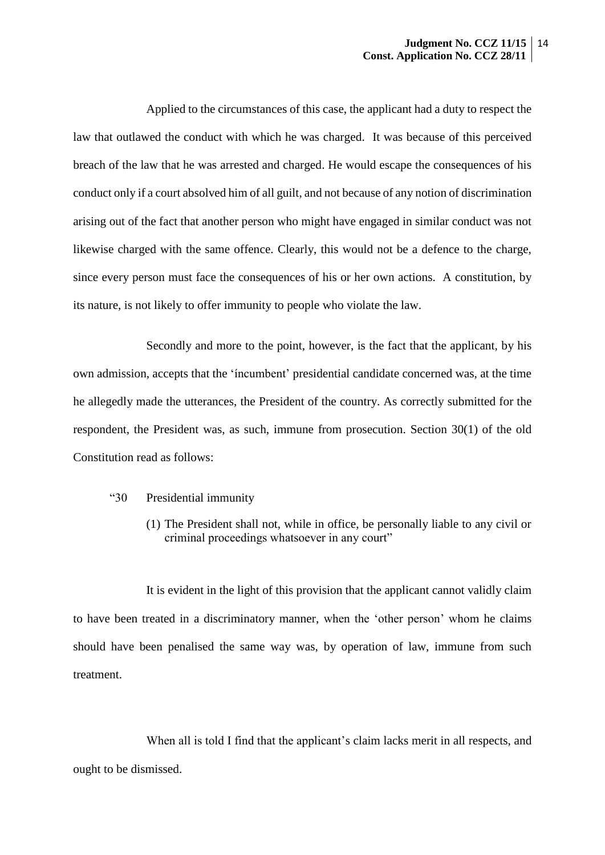Applied to the circumstances of this case, the applicant had a duty to respect the law that outlawed the conduct with which he was charged. It was because of this perceived breach of the law that he was arrested and charged. He would escape the consequences of his conduct only if a court absolved him of all guilt, and not because of any notion of discrimination arising out of the fact that another person who might have engaged in similar conduct was not likewise charged with the same offence. Clearly, this would not be a defence to the charge, since every person must face the consequences of his or her own actions. A constitution, by its nature, is not likely to offer immunity to people who violate the law.

Secondly and more to the point, however, is the fact that the applicant, by his own admission, accepts that the 'íncumbent' presidential candidate concerned was, at the time he allegedly made the utterances, the President of the country. As correctly submitted for the respondent, the President was, as such, immune from prosecution. Section 30(1) of the old Constitution read as follows:

- "30 Presidential immunity
	- (1) The President shall not, while in office, be personally liable to any civil or criminal proceedings whatsoever in any court"

It is evident in the light of this provision that the applicant cannot validly claim to have been treated in a discriminatory manner, when the 'other person' whom he claims should have been penalised the same way was, by operation of law, immune from such treatment.

When all is told I find that the applicant's claim lacks merit in all respects, and ought to be dismissed.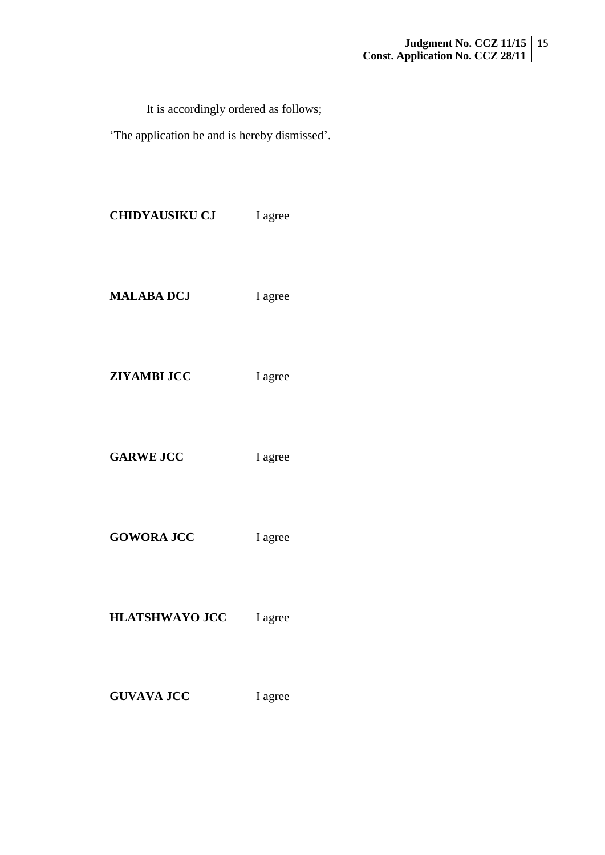It is accordingly ordered as follows;

'The application be and is hereby dismissed'.

| <b>CHIDYAUSIKU CJ</b> | I agree |
|-----------------------|---------|
| <b>MALABA DCJ</b>     | I agree |
| <b>ZIYAMBI JCC</b>    | I agree |
| <b>GARWE JCC</b>      | I agree |
| <b>GOWORA JCC</b>     | I agree |
| <b>HLATSHWAYO JCC</b> | I agree |
| <b>GUVAVA JCC</b>     | I agree |